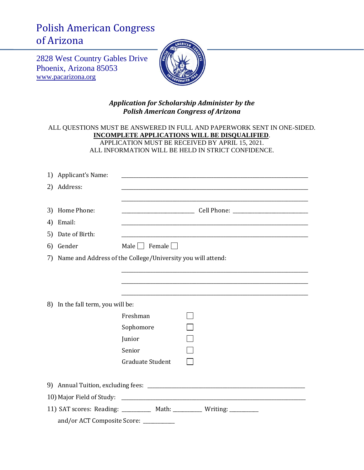## Polish American Congress of Arizona

2828 West Country Gables Drive Phoenix, Arizona 85053 [www.pacarizona.org](http://www.pacarizona.org/)



## *Application for Scholarship Administer by the Polish American Congress of Arizona*

## ALL QUESTIONS MUST BE ANSWERED IN FULL AND PAPERWORK SENT IN ONE-SIDED. **INCOMPLETE APPLICATIONS WILL BE DISQUALIFIED**. APPLICATION MUST BE RECEIVED BY APRIL 15, 2021. ALL INFORMATION WILL BE HELD IN STRICT CONFIDENCE.

|                                                                        | 1) Applicant's Name:              |                                                                |  |
|------------------------------------------------------------------------|-----------------------------------|----------------------------------------------------------------|--|
|                                                                        | 2) Address:                       |                                                                |  |
|                                                                        |                                   |                                                                |  |
|                                                                        | 3) Home Phone:                    |                                                                |  |
|                                                                        | 4) Email:                         |                                                                |  |
|                                                                        | 5) Date of Birth:                 |                                                                |  |
| 6)                                                                     | Gender                            | Male   Female                                                  |  |
|                                                                        |                                   | 7) Name and Address of the College/University you will attend: |  |
|                                                                        |                                   |                                                                |  |
|                                                                        |                                   |                                                                |  |
|                                                                        |                                   |                                                                |  |
|                                                                        | 8) In the fall term, you will be: |                                                                |  |
|                                                                        |                                   | Freshman                                                       |  |
|                                                                        |                                   | Sophomore                                                      |  |
|                                                                        |                                   | Junior                                                         |  |
|                                                                        |                                   | Senior                                                         |  |
|                                                                        |                                   | Graduate Student                                               |  |
|                                                                        |                                   |                                                                |  |
|                                                                        |                                   |                                                                |  |
|                                                                        |                                   |                                                                |  |
| 11) SAT scores: Reading: __________ Math: _________ Writing: _________ |                                   |                                                                |  |
|                                                                        | and/or ACT Composite Score:       |                                                                |  |